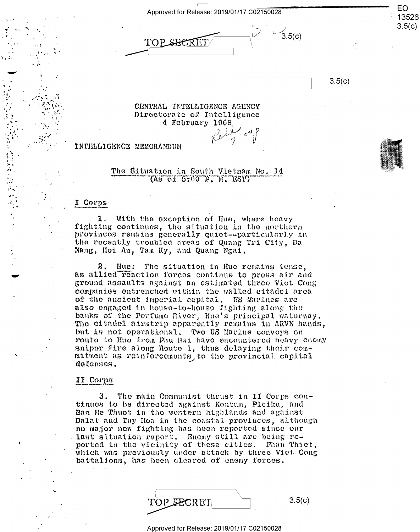Approved for Release: 2019/01/17 C02150028

TOP SHERE

 $3.5(c)$ 

 $3.5(c)$ 

EO

13526  $3.5(c)$ 

CENTRAL INTELLIGENCE AGENCY Directorate of Intelligence 4 February 1968.

INTELLIGENCE MEMORANDUM

The Situation in South Vietnam No. 14  $($ As of  $5:00$  P, M,  $EST$ )

### I Corps

1. With the exception of Hue, where heavy fighting continues, the situation in the northern provinces remains generally quiet--particularly in the recently troubled areas of Quang Tri City, Da Nang, Hoi An, Tam Ky, and Quang Ngai.

2. Hue: The situation in Hue remains tense, as allied reaction forces continue to press air and ground assaults against an estimated three Viet Cong companies entrenched within the walled citadel area of the ancient imperial capital. US Marines are also engaged in house-to-house fighting along the banks of the Porfume River, Hue's principal waterway. The citadel airstrip apparently remains in ARVN hands, but is not operational. Two US Marine convoys on route to Hue from Phu Bai have encountered heavy enemy sniper fire along Noute 1, thus delaying their commitment as reinforcements to the provincial capital defenses.

### II Corps

3. The main Communist thrust in II Corps continues to be directed against Kontum, Pleiku, and Ban Me Thuot in the western highlands and against Dalat and Tuy Hoa in the coastal provinces, although no major new fighting has been reported since our last situation report. Enemy still are being reported in the vicinity of these cities. Phan Thiet, which was previously under attack by three Viet Cong battalions, has been cleared of enemy forces.

| TOP SECRET | 3.5(c) |
|------------|--------|
|            |        |

Approved for Release: 2019/01/17 C02150028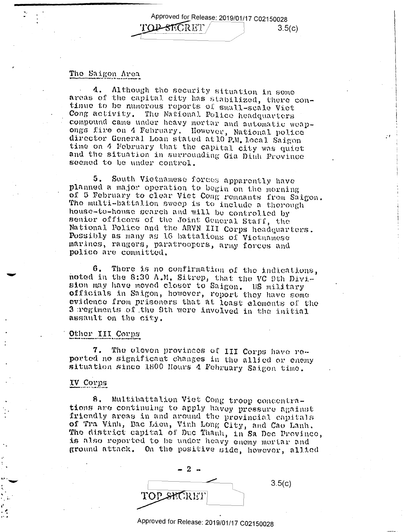Approved for Release: 2019/01/17 C02150028 **LOB-SECRET**  $3.5(c)$ 

## The Saigon Area

Although the security situation in some  $4.$ areas of the capital city has stabilized, there continue to be numerous reports of small-scale Viet Cong activity. The National Police headquarters compound came under heavy mortar and automatic weapongs fire on 4 February. However, National police director General Loan stated at 10 P.M. Local Saigon time on 4 February that the capital city was quiet and the situation in surrounding Gia Dinh Province seemed to be under control.

South Vietnameso forces apparently have 5. planned a major operation to begin on the morning of 5 February to clear Viet Cong remnants from Saigon. The multi-battalion sweep is to include a therough house-to-house search and will be controlled by senior officers of the Joint General Staff, the National Police and the ARVN III Corps headquarters. Possibly as many as 16 battalions of Victmanese marines, rangers, paratroopers, army forces and polico are committed.

6. There is no confirmation of the indications, noted in the 8:30 A.M. Sitrep, that the VC 9th Division may have moved closer to Saigon. US military officials in Saigon, however, report they have some evidence from prisoners that at least elements of the 3 regiments of the 9th were involved in the initial assault on the city.

### Other III Corps

7. The eleven provinces of III Corps have reported no significant changes in the allied or enemy situation since 1800 Hours 4 February Saigon time.

# IV Corps

Multibattalion Viet Cong troop concentra-8. tions are continuing to apply havey pressure against friendly areas in and around the provincial capitals of Tra Vinh, Bac Lieu, Vinh Long City, and Cao Lanh. The district capital of Duc Thanh, in Sa Dec Province, is also reported to be under heavy enemy mortar and ground attack. On the positive side, however, allied

| $-2-$     |        |
|-----------|--------|
|           | 3.5(c) |
| TOPSHORET |        |

Approved for Release: 2019/01/17 C02150028